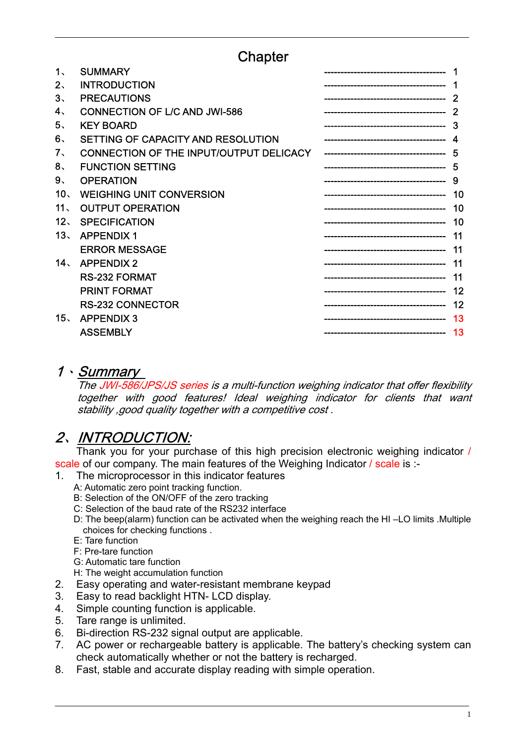## Chapter

| 1、             | <b>SUMMARY</b>                          |    |
|----------------|-----------------------------------------|----|
| $2\cdot$       | <b>INTRODUCTION</b>                     |    |
| 3、             | <b>PRECAUTIONS</b>                      |    |
| 4.             | <b>CONNECTION OF L/C AND JWI-586</b>    |    |
| 5.             | <b>KEY BOARD</b>                        |    |
| 6.             | SETTING OF CAPACITY AND RESOLUTION      |    |
| 7.             | CONNECTION OF THE INPUT/OUTPUT DELICACY | 5  |
| 8 <sub>1</sub> | <b>FUNCTION SETTING</b>                 | 5  |
| 9、             | <b>OPERATION</b>                        | 9  |
| 10.            | <b>WEIGHING UNIT CONVERSION</b>         | 10 |
| 11、            | <b>OUTPUT OPERATION</b>                 | 10 |
| 12.            | <b>SPECIFICATION</b>                    | 10 |
| 13、            | <b>APPENDIX1</b>                        | 11 |
|                | <b>ERROR MESSAGE</b>                    | 11 |
| 14.            | <b>APPENDIX 2</b>                       | 11 |
|                | <b>RS-232 FORMAT</b>                    | 11 |
|                | <b>PRINT FORMAT</b>                     | 12 |
|                | <b>RS-232 CONNECTOR</b>                 | 12 |
| 15.            | <b>APPENDIX 3</b>                       | 13 |
|                | <b>ASSEMBLY</b>                         | 13 |
|                |                                         |    |

#### 1、 Summary

The JWI-586/JPS/JS series is a multi-function weighing indicator that offer flexibility together with good features! Ideal weighing indicator for clients that want stability ,good quality together with a competitive cost .

## 2、 INTRODUCTION:

Thank you for your purchase of this high precision electronic weighing indicator / scale of our company. The main features of the Weighing Indicator / scale is :-

- 1. The microprocessor in this indicator features
	- A: Automatic zero point tracking function.
	- B: Selection of the ON/OFF of the zero tracking
	- C: Selection of the baud rate of the RS232 interface
	- D: The beep(alarm) function can be activated when the weighing reach the HI –LO limits .Multiple choices for checking functions .
	- E: Tare function
	- F: Pre-tare function
	- G: Automatic tare function
	- H: The weight accumulation function
- 2. Easy operating and water-resistant membrane keypad
- 3. Easy to read backlight HTN- LCD display.
- 4. Simple counting function is applicable.
- 5. Tare range is unlimited.
- 6. Bi-direction RS-232 signal output are applicable.
- 7. AC power or rechargeable battery is applicable. The battery's checking system can check automatically whether or not the battery is recharged.
- 8. Fast, stable and accurate display reading with simple operation.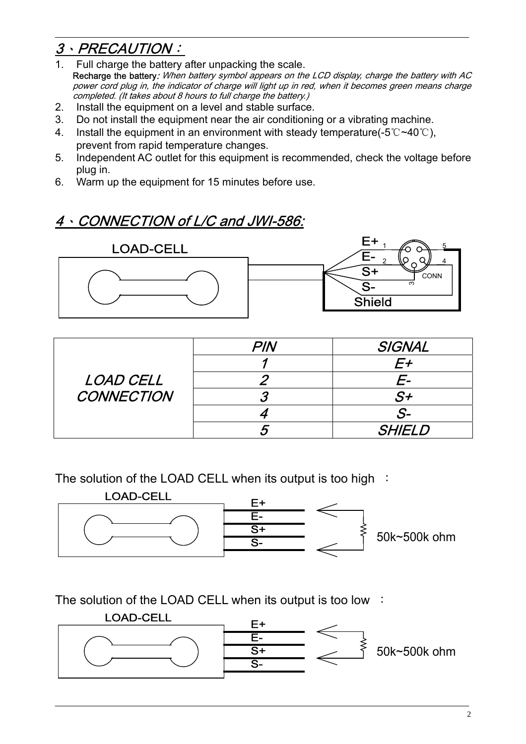## 3、PRECAUTION:

- 1. Full charge the battery after unpacking the scale. Recharge the battery: When battery symbol appears on the LCD display, charge the battery with AC power cord plug in, the indicator of charge will light up in red, when it becomes green means charge completed. (It takes about 8 hours to full charge the battery.)
- 2. Install the equipment on a level and stable surface.
- 3. Do not install the equipment near the air conditioning or a vibrating machine.
- 4. Install the equipment in an environment with steady temperature(-5℃~40℃), prevent from rapid temperature changes.
- 5. Independent AC outlet for this equipment is recommended, check the voltage before plug in.
- 6. Warm up the equipment for 15 minutes before use.

## 4、CONNECTION of L/C and JWI-586:



|                   | PIN | SIGNAL        |
|-------------------|-----|---------------|
|                   |     |               |
| LOAD CELL         |     | E-            |
| <b>CONNECTION</b> |     | $S+$          |
|                   |     | .S-           |
|                   |     | <b>SHIELD</b> |

The solution of the LOAD CELL when its output is too high :



The solution of the LOAD CELL when its output is too low :

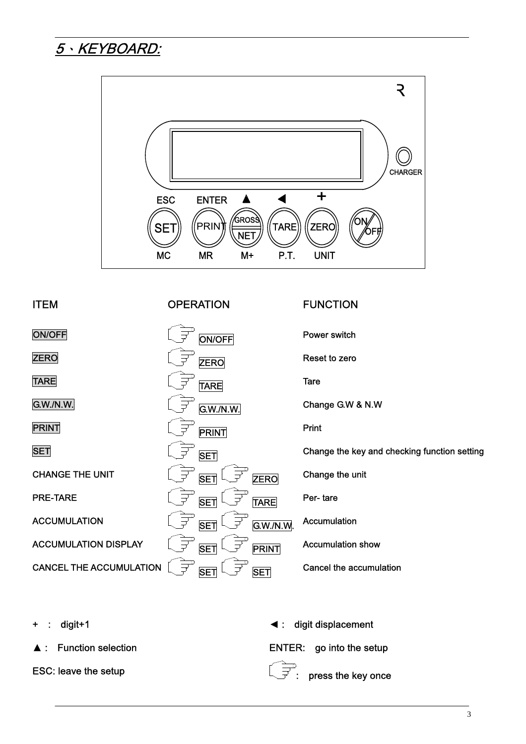

digit+1 **a** a state of the state of the state of the state of the digit displacement

#### ITEM OPERATION FUNCTION

ON/OFF DISCOUNCE DISCOUNCE ON A Power switch **ZERO** Reset to zero TARE TARE TARE Tare G.W./N.W. G.W./N.W. Change G.W & N.W **PRINT** Print SET SET SET SET SET Change the key and checking function setting CHANGE THE UNIT  $\left(\begin{matrix} \frac{\lambda}{\lambda} & \mathbf{S}\end{matrix}\right)$   $\left(\begin{matrix} \frac{\lambda}{\lambda} & \mathbf{S}\end{matrix}\right)$   $\left(\begin{matrix} \frac{\lambda}{\lambda} & \mathbf{S}\end{matrix}\right)$  Change the unit **PRE-TARE** Per- tare  $\overline{\bigcup_{T}^{T}}$  **SET**  $\overline{\bigcup_{T}^{T}}$  **TARE** Per- tare ACCUMULATION SET G.W./N.W. Accumulation ACCUMULATION DISPLAY SET PRINT Accumulation show CANCEL THE ACCUMULATION  $\widehat{\mathbb{F}}$  SET  $\widehat{\mathbb{F}}$  SET Cancel the accumulation

Function selection ENTER: go into the setup

ESC: leave the setup  $\overline{\mathbb{CP}}$ : press the key once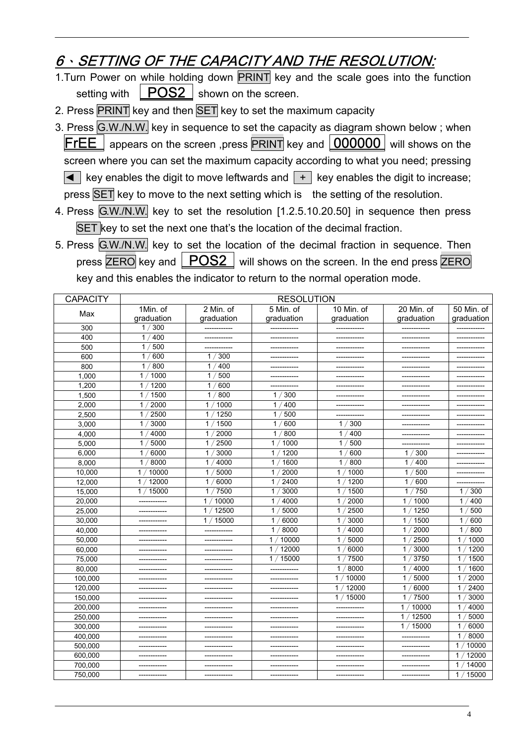## 6、SETTING OF THE CAPACITY AND THE RESOLUTION:

- 1. Turn Power on while holding down PRINT key and the scale goes into the function setting with  $\vert$  POS2  $\vert$  shown on the screen.
- 2. Press PRINT key and then SET key to set the maximum capacity
- 3. Press G.W./N.W. key in sequence to set the capacity as diagram shown below ; when  **appears on the screen ,press**  $**PRINT**$  **key and**  $\lfloor 000000 \rfloor$  **will shows on the** screen where you can set the maximum capacity according to what you need; pressing  $\blacktriangleleft$  key enables the digit to move leftwards and  $\blacktriangleright$  key enables the digit to increase; press **SET** key to move to the next setting which is the setting of the resolution.
- 4. Press G.W./N.W. key to set the resolution [1.2.5.10.20.50] in sequence then press SET key to set the next one that's the location of the decimal fraction.
- 5. Press G.W./N.W. key to set the location of the decimal fraction in sequence. Then press  $\overline{\text{ZERO}}$  key and  $\overline{\text{POSS}}$  will shows on the screen. In the end press  $\overline{\text{ZERO}}$ key and this enables the indicator to return to the normal operation mode.

| <b>CAPACITY</b> | <b>RESOLUTION</b>      |                       |                         |                         |                        |                        |  |  |
|-----------------|------------------------|-----------------------|-------------------------|-------------------------|------------------------|------------------------|--|--|
|                 | 1Min. of               | 2 Min. of             | $5$ Min. of             | $\overline{10}$ Min. of | 20 Min. of             | 50 Min. of             |  |  |
| Max             | graduation             | graduation            | graduation              | graduation              | graduation             | graduation             |  |  |
| 300             | 300<br>1/              | ------------          |                         | ------------            |                        |                        |  |  |
| 400             | 400<br>1 <sub>1</sub>  | ------------          | ------------            | ------------            | ------------           | -------------          |  |  |
| 500             | 500<br>1               | ------------          | -------------           | -------------           | ------------           | ------------           |  |  |
| 600             | 600<br>$\mathbf{1}$    | 1/300                 | -------------           | ------------            |                        |                        |  |  |
| 800             | 800<br>1               | 400<br>1/             | -------------           | ------------            | ------------           |                        |  |  |
| 1,000           | 1000<br>$\mathbf{1}$   | 500<br>$\mathbf{1}$   | -------------           |                         |                        |                        |  |  |
| 1,200           | 1 <sup>1</sup><br>1200 | 600<br>$\mathbf{1}$   |                         |                         |                        |                        |  |  |
| 1.500           | 1500<br>1 <sub>1</sub> | / 800<br>$\mathbf{1}$ | 1/300                   | -------------           | -------------          |                        |  |  |
| 2,000           | 2000<br>1 <sub>1</sub> | 1000<br>1             | 400<br>1                | ------------            | ------------           | ------------           |  |  |
| 2.500           | 1/<br>2500             | 1250<br>1             | $\mathbf{1}$<br>500     |                         |                        |                        |  |  |
| 3,000           | 3000<br>$\mathbf{1}$   | 1500<br>1             | $\mathbf{1}$<br>600     | 300<br>1/               | ------------           | -------------          |  |  |
| 4,000           | 4000<br>1 <sub>1</sub> | 2000<br>1/            | 800<br>1                | 400<br>1/               | ------------           | ------------           |  |  |
| 5,000           | 5000<br>$\mathbf 1$    | 2500<br>1             | 1000<br>1               | 500<br>1 <sub>1</sub>   |                        |                        |  |  |
| 6,000           | 6000<br>1/             | 3000<br>1             | 1200<br>1               | 600<br>1/               | 1/300                  |                        |  |  |
| 8,000           | 8000<br>1/             | 4000<br>1/            | 1600<br>$\mathbf{1}$    | 800<br>1/               | 400<br>1/              |                        |  |  |
| 10,000          | 10000<br>$\mathbf{1}$  | 5000<br>$\mathbf{1}$  | 2000<br>$\mathbf{1}$    | 1000<br>$\mathbf{1}$    | 500<br>1/              |                        |  |  |
| 12,000          | 12000<br>$\mathbf{1}$  | $\mathbf{1}$<br>6000  | 2400<br>$\mathbf{1}$    | 1200<br>$\mathbf{1}$    | 1/<br>600              |                        |  |  |
| 15,000          | 1/15000                | 7500<br>1/            | 3000<br>1               | 1500<br>$\mathbf{1}$    | 750<br>1/              | 300<br>1               |  |  |
| 20,000          |                        | 10000<br>1/           | 4000<br>1               | 2000<br>1               | 1000<br>1/             | 400<br>1               |  |  |
| 25,000          |                        | 12500<br>1/           | 5000<br>$\mathbf{1}$    | 2500<br>$\mathbf{1}$    | 1250<br>1              | 500<br>1               |  |  |
| 30,000          |                        | 15000<br>1/           | 6000<br>1               | $\mathbf{1}$<br>3000    | 1500<br>1              | 600<br>$\mathbf{1}$    |  |  |
| 40,000          | -------------          | -------------         | 8000<br>1               | 4000<br>$\mathbf{1}$    | 2000<br>$\mathbf{1}$   | 800<br>$\mathbf{1}$    |  |  |
| 50,000          | -------------          | -------------         | 10000<br>1 <sub>1</sub> | 1<br>5000               | 2500<br>$\mathbf{1}$   | 1 <sub>1</sub><br>1000 |  |  |
| 60,000          |                        |                       | 1/<br>12000             | 6000<br>1/              | / 3000<br>1            | 1 <sub>1</sub><br>1200 |  |  |
| 75,000          | -------------          | ------------          | 1/15000                 | 1/7500                  | 1/3750                 | 1/<br>1500             |  |  |
| 80,000          | -------------          | -------------         |                         | $^{\prime}$ 8000<br>1/  | 4000<br>1              | 1600<br>1 <sub>1</sub> |  |  |
| 100,000         |                        |                       |                         | 10000<br>$\mathbf{1}$   | 5000<br>1              | 2000<br>1/             |  |  |
| 120,000         | ------------           | ------------          |                         | 12000<br>$\mathbf{1}$   | $\mathbf{1}$<br>6000   | '2400<br>1/            |  |  |
| 150,000         |                        |                       |                         | 1/15000                 | 7500<br>$\mathbf{1}$   | 3000<br>1/             |  |  |
| 200,000         |                        |                       | ------------            |                         | 10000<br>1             | 1/<br>4000             |  |  |
| 250,000         | ------------           |                       |                         | ------------            | 12500<br>$\mathbf{1}$  | 1/<br>5000             |  |  |
| 300,000         | ------------           | ------------          | ------------            | ------------            | /15000<br>$\mathbf{1}$ | 6000<br>1/             |  |  |
| 400,000         | ------------           |                       |                         | -------------           |                        | 8000<br>1/             |  |  |
| 500,000         |                        |                       |                         |                         |                        | 10000<br>1             |  |  |
| 600,000         | -------------          | ------------          | -------------           | -------------           | -------------          | 1<br>12000             |  |  |
| 700,000         | ------------           | -------------         |                         |                         | ------------           | 14000<br>1             |  |  |
| 750,000         | -------------          | ------------          | ------------            | ------------            | ------------           | 15000<br>$\mathbf{1}$  |  |  |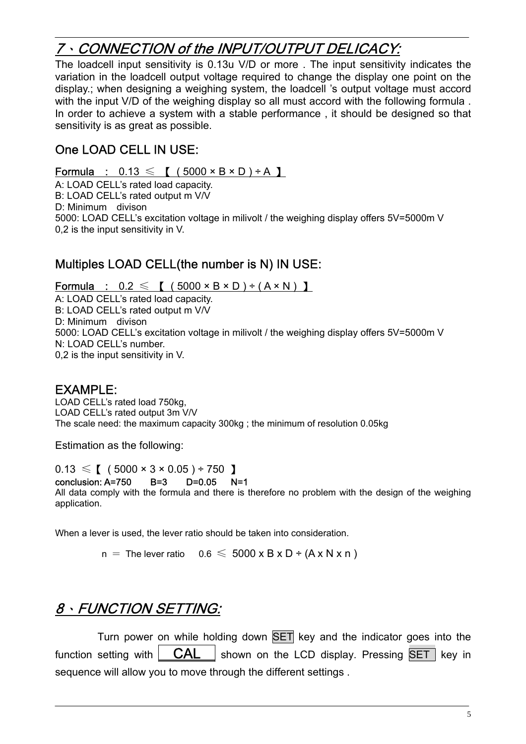## 7、CONNECTION of the INPUT/OUTPUT DELICACY:

The loadcell input sensitivity is 0.13u V/D or more . The input sensitivity indicates the variation in the loadcell output voltage required to change the display one point on the display.; when designing a weighing system, the loadcell 's output voltage must accord with the input V/D of the weighing display so all must accord with the following formula. In order to achieve a system with a stable performance, it should be designed so that sensitivity is as great as possible.

### One LOAD CELL IN USE:

Formula :  $0.13 \leqslant$  [  $(5000 \times B \times D) \div A$  ]

A: LOAD CELL's rated load capacity. B: LOAD CELL's rated output m V/V D: Minimum divison

5000: LOAD CELL's excitation voltage in milivolt / the weighing display offers 5V=5000m V 0,2 is the input sensitivity in V.

# : Multiples LOAD CELL(the number is N) IN USE

Formula :  $0.2 \leqslant$  [  $(5000 \times B \times D) \div (A \times N)$  ]

5000: LOAD CELL's excitation voltage in milivolt / the weighing display offers 5V=5000m V 0,2 is the input sensitivity in V. A: LOAD CELL's rated load capacity. B: LOAD CELL's rated output m V/V D: Minimum divison N: LOAD CELL's number.

#### EXAMPLE:

The scale need: the maximum capacity 300kg ; the minimum of resolution 0.05kg LOAD CELL's rated load 750kg, LOAD CELL's rated output 3m V/V

Estimation as the following:

 $0.13 \leq \binom{1}{1}$  (  $5000 \times 3 \times 0.05$  ) ÷ 750 ]

conclusion: A=750 B=3 D=0.05 N=1

All data comply with the formula and there is therefore no problem with the design of the weighing application.

When a lever is used, the lever ratio should be taken into consideration.

 $n =$  The lever ratio  $0.6 \leqslant 5000 \times B \times D \div (A \times N \times n)$ 

## 、FUNCTION SETTING: 8

Turn power on while holding down SET key and the indicator goes into the function setting with  $\overline{CAL }$  shown on the LCD display. Pressing  $\overline{SET }$  key in sequence will allow you to move through the different settings.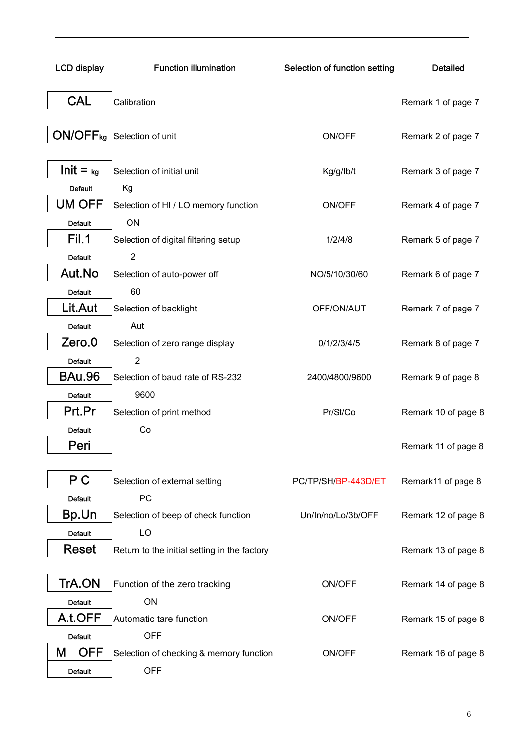| <b>LCD display</b>              | <b>Function illumination</b>                 | Selection of function setting | <b>Detailed</b>     |
|---------------------------------|----------------------------------------------|-------------------------------|---------------------|
| <b>CAL</b>                      | Calibration                                  |                               | Remark 1 of page 7  |
|                                 | ON/OFF <sub>kg</sub> Selection of unit       | ON/OFF                        | Remark 2 of page 7  |
| $Init = kg$                     | Selection of initial unit                    | Kg/g/lb/t                     | Remark 3 of page 7  |
| <b>Default</b><br><b>UM OFF</b> | Kg<br>Selection of HI / LO memory function   | ON/OFF                        | Remark 4 of page 7  |
| <b>Default</b>                  | ON                                           |                               |                     |
| Fil.1                           | Selection of digital filtering setup         | 1/2/4/8                       | Remark 5 of page 7  |
| <b>Default</b>                  | $\overline{2}$                               |                               |                     |
| Aut.No                          | Selection of auto-power off                  | NO/5/10/30/60                 | Remark 6 of page 7  |
| <b>Default</b>                  | 60                                           |                               |                     |
| Lit.Aut                         | Selection of backlight                       | OFF/ON/AUT                    | Remark 7 of page 7  |
| <b>Default</b>                  | Aut                                          |                               |                     |
| Zero.0                          | Selection of zero range display              | 0/1/2/3/4/5                   | Remark 8 of page 7  |
| <b>Default</b><br><b>BAu.96</b> | $\overline{2}$                               |                               |                     |
|                                 | Selection of baud rate of RS-232<br>9600     | 2400/4800/9600                | Remark 9 of page 8  |
| <b>Default</b><br>Prt.Pr        | Selection of print method                    | Pr/St/Co                      | Remark 10 of page 8 |
| <b>Default</b>                  | Co                                           |                               |                     |
| Peri                            |                                              |                               | Remark 11 of page 8 |
| P C                             | Selection of external setting                | PC/TP/SH/BP-443D/ET           | Remark11 of page 8  |
| <b>Default</b>                  | PC                                           |                               |                     |
| Bp.Un                           | Selection of beep of check function          | Un/In/no/Lo/3b/OFF            | Remark 12 of page 8 |
| <b>Default</b>                  | LO                                           |                               |                     |
| <b>Reset</b>                    | Return to the initial setting in the factory |                               | Remark 13 of page 8 |
| TrA.ON                          | Function of the zero tracking                | ON/OFF                        | Remark 14 of page 8 |
| <b>Default</b>                  | ON                                           |                               |                     |
| A.t.OFF                         | Automatic tare function                      | ON/OFF                        | Remark 15 of page 8 |
| <b>Default</b>                  | <b>OFF</b>                                   |                               |                     |
| <b>OFF</b><br>M                 | Selection of checking & memory function      | ON/OFF                        | Remark 16 of page 8 |
| <b>Default</b>                  | <b>OFF</b>                                   |                               |                     |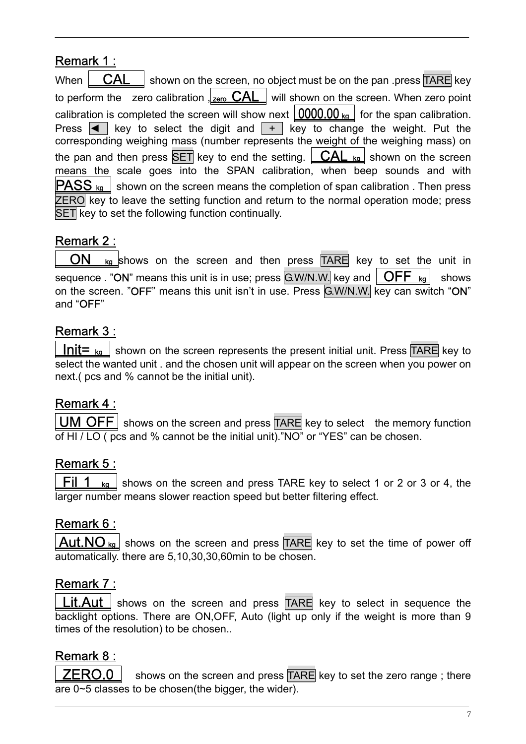### Remark 1 :

When  $\overline{CAL }$  shown on the screen, no object must be on the pan .press TARE key to perform the zero calibration  $\frac{1}{\sqrt{2\pi}}$  CAL will shown on the screen. When zero point calibration is completed the screen will show next  $\vert 0000.00 \vert_{\text{kg}} \vert$  for the span calibration. Press  $\overline{\blacktriangleleft}$  key to select the digit and  $\overline{\blacktriangleleft}$  key to change the weight. Put the corresponding weighing mass (number represents the weight of the weighing mass) on the pan and then press  $\overline{SET}$  key to end the setting.  $\overline{CAL}$  kg shown on the screen means the scale goes into the SPAN calibration, when beep sounds and with  $\overline{\text{PASS}}$   $_{\text{kg}}$  shown on the screen means the completion of span calibration . Then press ZERO key to leave the setting function and return to the normal operation mode; press SET key to set the following function continually.

### Remark 2 :

 $ON$  kg shows on the screen and then press  $TARE$  key to set the unit in sequence . "ON" means this unit is in use; press  $\boxed{\text{G.W/N.W.}}$  key and  $\boxed{\text{OFF }\text{kg}}$  shows on the screen. "OFF" means this unit isn't in use. Press G.W/N.W. key can switch "ON" and "OFF"

#### Remark 3 :

**Init=**  $k_{\alpha}$  shown on the screen represents the present initial unit. Press TARE key to select the wanted unit . and the chosen unit will appear on the screen when you power on next.( pcs and % cannot be the initial unit).

#### Remark 4 :

**UM OFF** shows on the screen and press  $TARE$  key to select the memory function of HI / LO ( pcs and % cannot be the initial unit)."NO" or "YES" can be chosen.

#### Remark 5 :

Fil 1  $\kappa_{\text{g}}$  shows on the screen and press TARE key to select 1 or 2 or 3 or 4, the larger number means slower reaction speed but better filtering effect.

### Remark 6 :

 $Aut.NO_{ka}$  shows on the screen and press TARE key to set the time of power off automatically. there are 5,10,30,30,60min to be chosen.

### Remark 7 :

**Lit.Aut** shows on the screen and press TARE key to select in sequence the backlight options. There are ON,OFF, Auto (light up only if the weight is more than 9 times of the resolution) to be chosen..

### Remark 8 :

**ZERO.0** shows on the screen and press  $TARE$  key to set the zero range; there are 0~5 classes to be chosen(the bigger, the wider).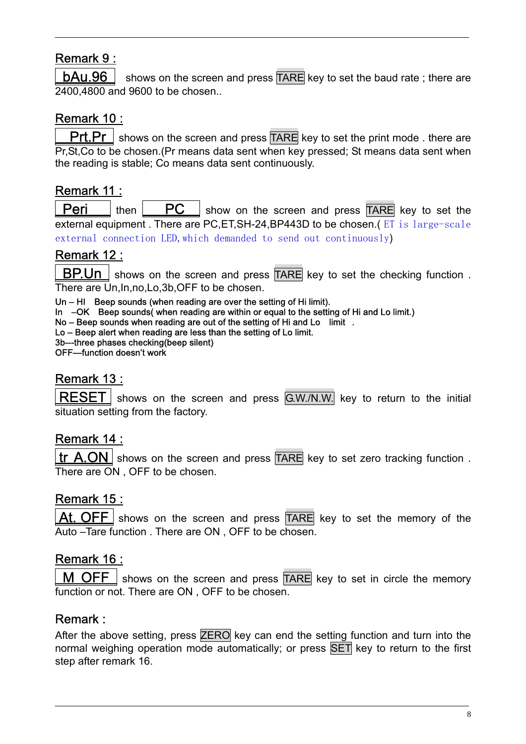## Remark 9 :

**bAu.96** shows on the screen and press  $\overline{IARE}$  key to set the baud rate; there are 2400,4800 and 9600 to be chosen..

## Remark 10 :

**Prt.Pr** shows on the screen and press  $\overline{TARE}$  key to set the print mode . there are Pr,St,Co to be chosen.(Pr means data sent when key pressed; St means data sent when the reading is stable; Co means data sent continuously.

### Remark 11 :

**Peri**  $\vert$  then  $\vert$  **PC**  $\vert$  show on the screen and press TARE key to set the external equipment . There are PC, ET, SH-24, BP443D to be chosen. (ET is large-scale external connection LED, which demanded to send out continuously)

### Remark 12 :

**BP.Un** shows on the screen and press  $TARE$  key to set the checking function. There are Un, In, no, Lo, 3b, OFF to be chosen.

Un – HI Beep sounds (when reading are over the setting of Hi limit).

In –OK Beep sounds when reading are within or equal to the setting of Hi and Lo limit.)

No – Beep sounds when reading are out of the setting of Hi and Lo limit.

Lo – Beep alert when reading are less than the setting of Lo limit.

3b---three phases checking(beep silent)

OFF—function doesn't work

#### <u>Remark 13 :</u>

 $RESET$  shows on the screen and press  $G.W.N.W.$  key to return to the initial situation setting from the factory.

#### Remark 14 :

 $\text{tr}$  A.ON shows on the screen and press TARE key to set zero tracking function. There are ON , OFF to be chosen.

#### Remark 15 :

At. OFF shows on the screen and press  $TARE$  key to set the memory of the Auto –Tare function . There are ON , OFF to be chosen.

#### Remark 16 :

shows on the screen and press  $TARE$  key to set in circle the memory function or not. There are ON , OFF to be chosen.

#### Remark :

After the above setting, press ZERO key can end the setting function and turn into the normal weighing operation mode automatically; or press SET key to return to the first step after remark 16.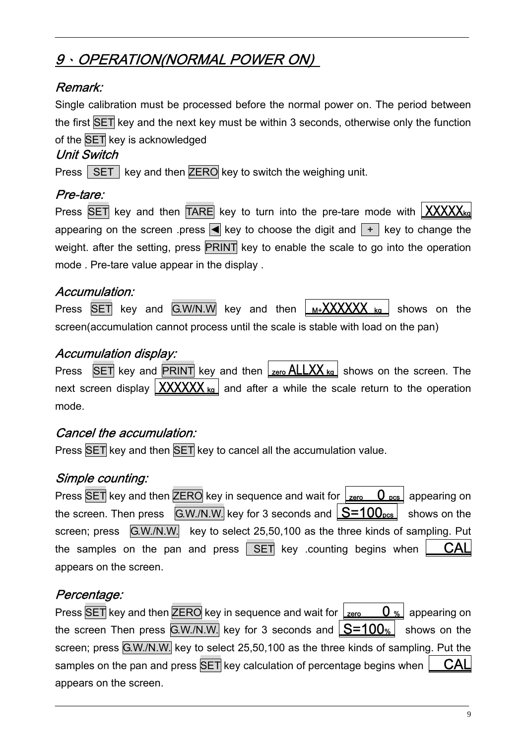## 9、OPERATION(NORMAL POWER ON)

## Remark:

Single calibration must be processed before the normal power on. The period between the first SET key and the next key must be within 3 seconds, otherwise only the function of the SET key is acknowledged

#### Unit Switch

Press  $\sqrt{\text{SET}}$  key and then ZERO key to switch the weighing unit.

## Pre-tare:

Press  $\overline{\text{SET}}$  key and then  $\overline{\text{TARE}}$  key to turn into the pre-tare mode with  $\overline{\text{XXXX}}$ appearing on the screen .press  $\blacksquare$  key to choose the digit and  $\blacksquare$  key to change the weight. after the setting, press PRINT key to enable the scale to go into the operation mode . Pre-tare value appear in the display .

### Accumulation:

Press  $\overline{\text{SET}}$  key and  $\overline{\text{G.W/N.W}}$  key and then  $\mu_{\text{M+}}$ XXXXXX kg shows on the screen(accumulation cannot process until the scale is stable with load on the pan)

#### Accumulation display:

Press  $\overline{\text{SET}}$  key and  $\overline{\text{PRINT}}$  key and then  $\frac{\text{Zero ALLXX}}{\text{ke}}$  shows on the screen. The next screen display  $\left[\frac{\text{XXXXX}}{\text{kg}}\right]$  and after a while the scale return to the operation mode.

#### Cancel the accumulation:

Press SET key and then SET key to cancel all the accumulation value.

### Simple counting:

Press SET key and then ZERO key in sequence and wait for  $\frac{1}{\sqrt{2}}$  appearing on the screen. Then press  $\sqrt{GM/N}$  key for 3 seconds and  $\sqrt{S}=100_{\text{pos}}$  shows on the screen; press G.W./N.W. key to select 25,50,100 as the three kinds of sampling. Put the samples on the pan and press  $\overline{\mathsf{SET}}$  key .counting begins when  $\overline{\mathsf{CAL}}$ appears on the screen.

### Percentage:

Press SET key and then  $\overline{\text{ZERO}}$  key in sequence and wait for  $\frac{1}{\text{zero}}$   $\overline{0}$  % appearing on the screen Then press  $G.W.N.W.$  key for 3 seconds and  $S=100$ % shows on the screen; press G.W./N.W. key to select 25,50,100 as the three kinds of sampling. Put the samples on the pan and press  $\overline{\text{SET}}$  key calculation of percentage begins when  $\overline{\text{CAL}}$ appears on the screen.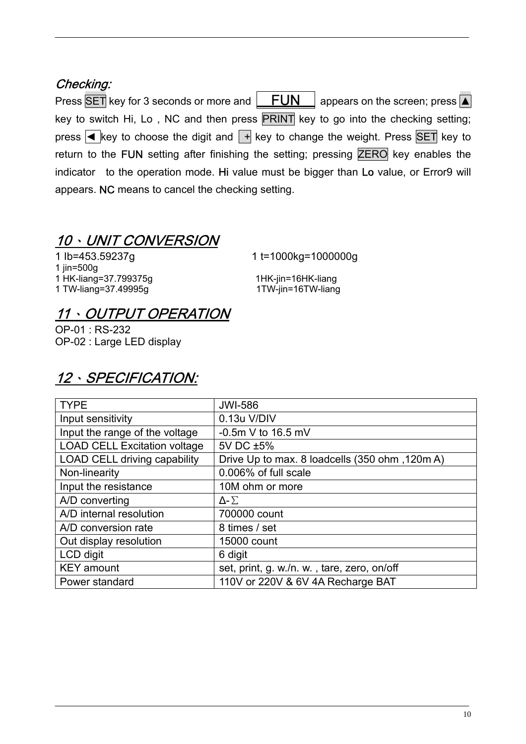## Checking:

Press SET key for 3 seconds or more and  $\boxed{\quad \text{FUN} \quad}$  appears on the screen; press  $\boxed{\blacktriangle}$ key to switch Hi, Lo, NC and then press PRINT key to go into the checking setting; press  $\overline{\triangleleft}$  key to choose the digit and  $\overline{+}$  key to change the weight. Press SET key to return to the FUN setting after finishing the setting; pressing ZERO key enables the indicator to the operation mode. Hi value must be bigger than Lo value, or Error9 will appears. NC means to cancel the checking setting.

## 10、UNIT CONVERSION

1 lb=453.59237g 1 t=1000kg=1000000g 1 jin=500g 1 HK-liang=37.799375g 1HK-jin=16HK-liang 1 TW-liang=37.49995g 1TW-jin=16TW-liang

## 11、OUTPUT OPERATION

OP-01 : RS-232 OP-02 : Large LED display

## 12、SPECIFICATION:

| <b>TYPE</b>                         | <b>JWI-586</b>                                 |
|-------------------------------------|------------------------------------------------|
| Input sensitivity                   | 0.13u V/DIV                                    |
| Input the range of the voltage      | $-0.5m$ V to 16.5 mV                           |
| <b>LOAD CELL Excitation voltage</b> | 5V DC ±5%                                      |
| <b>LOAD CELL driving capability</b> | Drive Up to max. 8 loadcells (350 ohm, 120m A) |
| Non-linearity                       | 0.006% of full scale                           |
| Input the resistance                | 10M ohm or more                                |
| A/D converting                      | $\Delta$ - $\Sigma$                            |
| A/D internal resolution             | 700000 count                                   |
| A/D conversion rate                 | 8 times / set                                  |
| Out display resolution              | 15000 count                                    |
| LCD digit                           | 6 digit                                        |
| <b>KEY</b> amount                   | set, print, g. w./n. w., tare, zero, on/off    |
| Power standard                      | 110V or 220V & 6V 4A Recharge BAT              |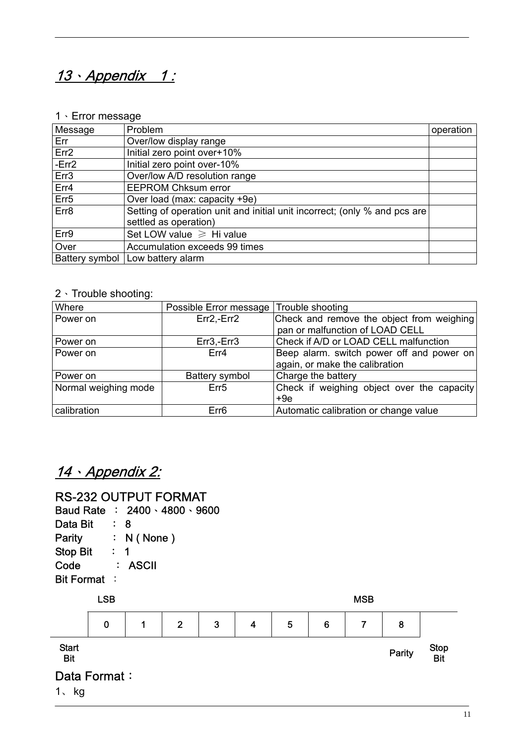## 13 · Appendix 1:

#### 1、Error message

| <b>Message</b>   | Problem                                                                   | operation |
|------------------|---------------------------------------------------------------------------|-----------|
| Err              | Over/low display range                                                    |           |
| Err <sub>2</sub> | Initial zero point over+10%                                               |           |
| $-Err2$          | Initial zero point over-10%                                               |           |
| Err <sub>3</sub> | Over/low A/D resolution range                                             |           |
| Err4             | <b>EEPROM Chksum error</b>                                                |           |
| Err <sub>5</sub> | Over load (max: capacity +9e)                                             |           |
| Err8             | Setting of operation unit and initial unit incorrect; (only % and pcs are |           |
|                  | settled as operation)                                                     |           |
| Err9             | Set LOW value $\geq$ Hi value                                             |           |
| Over             | Accumulation exceeds 99 times                                             |           |
| Battery symbol   | Low battery alarm                                                         |           |

#### 2、Trouble shooting:

| Where                | Possible Error message Trouble shooting |                                            |
|----------------------|-----------------------------------------|--------------------------------------------|
| Power on             | $Err2, -Err2$                           | Check and remove the object from weighing  |
|                      |                                         | pan or malfunction of LOAD CELL            |
| Power on             | $Err3, -Err3$                           | Check if A/D or LOAD CELL malfunction      |
| Power on             | Err4                                    | Beep alarm. switch power off and power on  |
|                      |                                         | again, or make the calibration             |
| Power on             | Battery symbol                          | Charge the battery                         |
| Normal weighing mode | Err <sub>5</sub>                        | Check if weighing object over the capacity |
|                      |                                         | $+9e$                                      |
| calibration          | Err <sub>6</sub>                        | Automatic calibration or change value      |

## 14、Appendix 2:

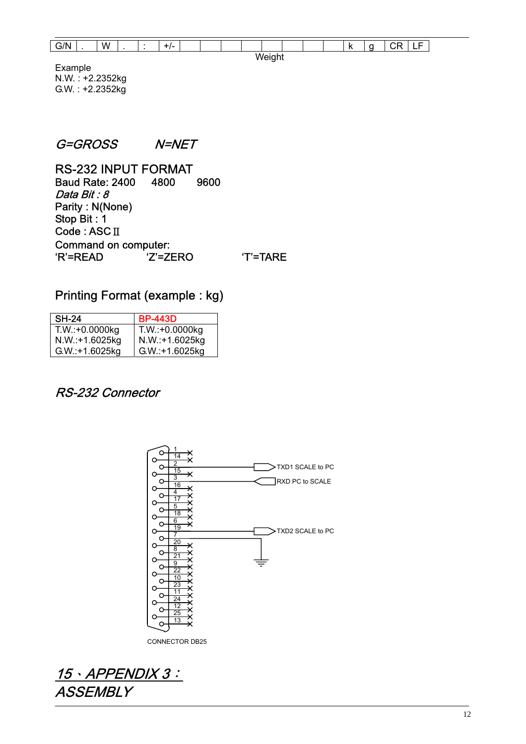| $\overline{\phantom{a}}$<br><i>,</i> .<br>~<br>. |  | W |  |  | $+1-$ |  |  |  |  |  |  |  |  | . L<br>$\overline{\phantom{a}}$ | $\tilde{\phantom{a}}$<br> | $\overline{\phantom{0}}$ | -<br>-<br>-- |
|--------------------------------------------------|--|---|--|--|-------|--|--|--|--|--|--|--|--|---------------------------------|---------------------------|--------------------------|--------------|
| ີ                                                |  |   |  |  |       |  |  |  |  |  |  |  |  |                                 |                           |                          |              |

Example N.W. : +2.2352kg G.W. : +2.2352kg

#### G=GROSS N=NET

RS-232 INPUT FORMAT Baud Rate: 2400 4800 9600 Data Bit : 8 Parity : N(None) Stop Bit : 1 Code : ASCⅡ Command on computer: 'R'=READ 'Z'=ZERO 'T'=TARE

#### Printing Format (example : kg)

| <b>SH-24</b>     | <b>BP-443D</b>   |
|------------------|------------------|
| $T.W.:+0.0000kg$ | $T.W.:+0.0000kg$ |
| N.W.:+1.6025kg   | N.W.:+1.6025kg   |
| $G.W.:+1.6025kg$ | G.W.:+1.6025kg   |

#### RS-232 Connector